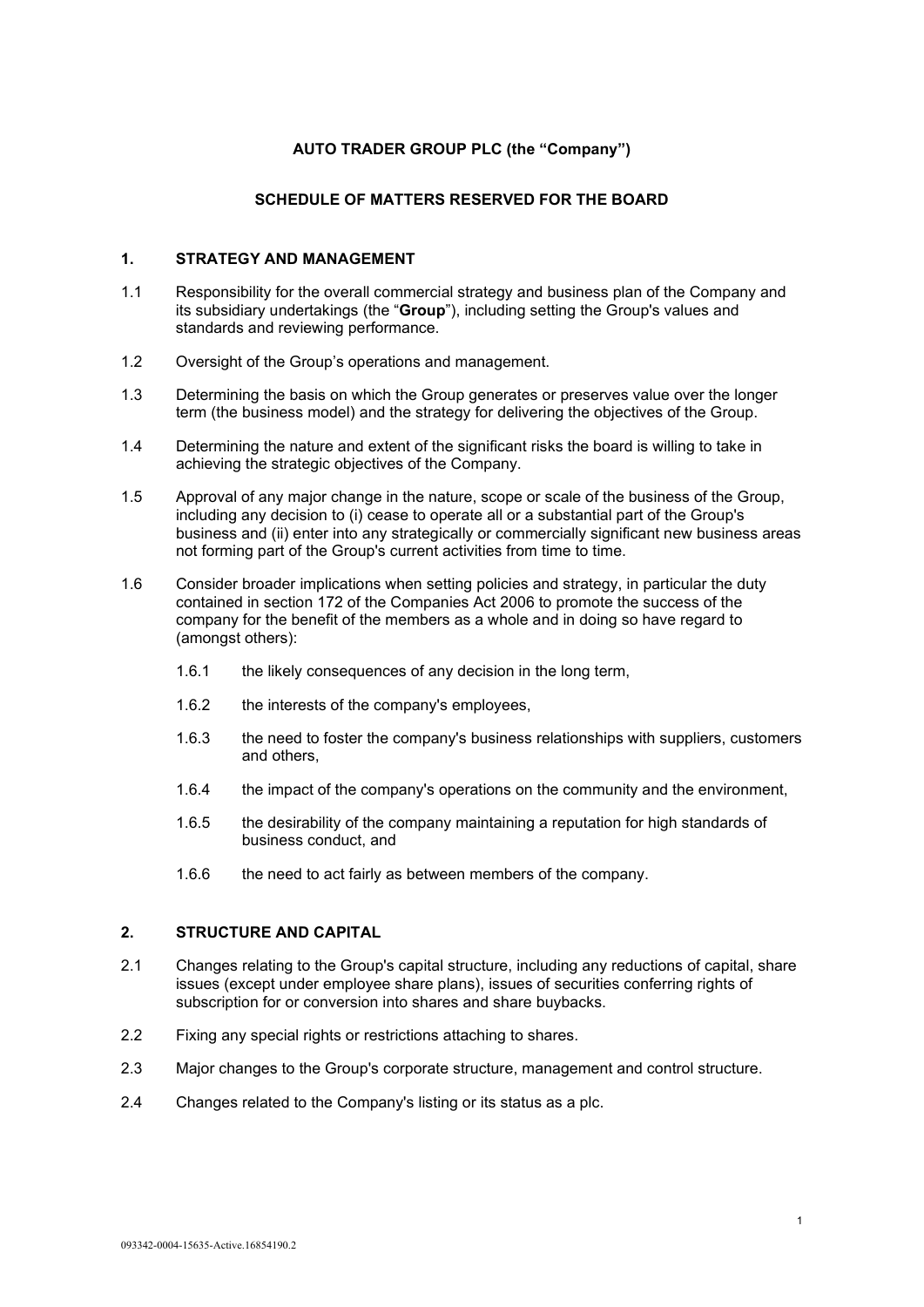# **AUTO TRADER GROUP PLC (the "Company")**

#### **SCHEDULE OF MATTERS RESERVED FOR THE BOARD**

#### **1. STRATEGY AND MANAGEMENT**

- 1.1 Responsibility for the overall commercial strategy and business plan of the Company and its subsidiary undertakings (the "**Group**"), including setting the Group's values and standards and reviewing performance.
- 1.2 Oversight of the Group's operations and management.
- 1.3 Determining the basis on which the Group generates or preserves value over the longer term (the business model) and the strategy for delivering the objectives of the Group.
- 1.4 Determining the nature and extent of the significant risks the board is willing to take in achieving the strategic objectives of the Company.
- 1.5 Approval of any major change in the nature, scope or scale of the business of the Group, including any decision to (i) cease to operate all or a substantial part of the Group's business and (ii) enter into any strategically or commercially significant new business areas not forming part of the Group's current activities from time to time.
- 1.6 Consider broader implications when setting policies and strategy, in particular the duty contained in section 172 of the Companies Act 2006 to promote the success of the company for the benefit of the members as a whole and in doing so have regard to (amongst others):
	- 1.6.1 the likely consequences of any decision in the long term,
	- 1.6.2 the interests of the company's employees,
	- 1.6.3 the need to foster the company's business relationships with suppliers, customers and others,
	- 1.6.4 the impact of the company's operations on the community and the environment,
	- 1.6.5 the desirability of the company maintaining a reputation for high standards of business conduct, and
	- 1.6.6 the need to act fairly as between members of the company.

## **2. STRUCTURE AND CAPITAL**

- 2.1 Changes relating to the Group's capital structure, including any reductions of capital, share issues (except under employee share plans), issues of securities conferring rights of subscription for or conversion into shares and share buybacks.
- 2.2 Fixing any special rights or restrictions attaching to shares.
- 2.3 Major changes to the Group's corporate structure, management and control structure.
- 2.4 Changes related to the Company's listing or its status as a plc.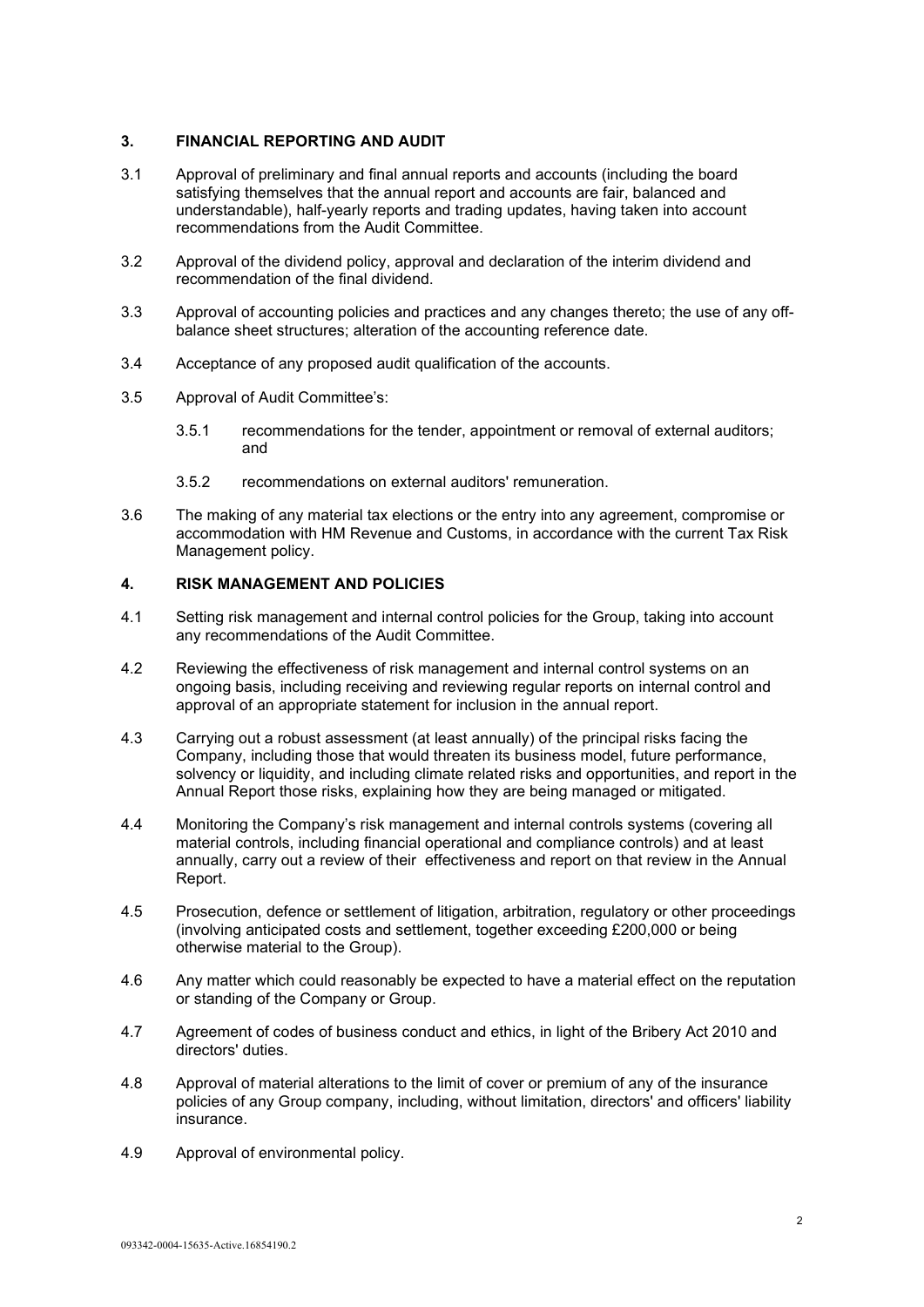# **3. FINANCIAL REPORTING AND AUDIT**

- 3.1 Approval of preliminary and final annual reports and accounts (including the board satisfying themselves that the annual report and accounts are fair, balanced and understandable), half-yearly reports and trading updates, having taken into account recommendations from the Audit Committee.
- 3.2 Approval of the dividend policy, approval and declaration of the interim dividend and recommendation of the final dividend.
- 3.3 Approval of accounting policies and practices and any changes thereto; the use of any offbalance sheet structures; alteration of the accounting reference date.
- 3.4 Acceptance of any proposed audit qualification of the accounts.
- 3.5 Approval of Audit Committee's:
	- 3.5.1 recommendations for the tender, appointment or removal of external auditors; and
	- 3.5.2 recommendations on external auditors' remuneration.
- 3.6 The making of any material tax elections or the entry into any agreement, compromise or accommodation with HM Revenue and Customs, in accordance with the current Tax Risk Management policy.

# **4. RISK MANAGEMENT AND POLICIES**

- 4.1 Setting risk management and internal control policies for the Group, taking into account any recommendations of the Audit Committee.
- 4.2 Reviewing the effectiveness of risk management and internal control systems on an ongoing basis, including receiving and reviewing regular reports on internal control and approval of an appropriate statement for inclusion in the annual report.
- 4.3 Carrying out a robust assessment (at least annually) of the principal risks facing the Company, including those that would threaten its business model, future performance, solvency or liquidity, and including climate related risks and opportunities, and report in the Annual Report those risks, explaining how they are being managed or mitigated.
- 4.4 Monitoring the Company's risk management and internal controls systems (covering all material controls, including financial operational and compliance controls) and at least annually, carry out a review of their effectiveness and report on that review in the Annual Report.
- 4.5 Prosecution, defence or settlement of litigation, arbitration, regulatory or other proceedings (involving anticipated costs and settlement, together exceeding £200,000 or being otherwise material to the Group).
- 4.6 Any matter which could reasonably be expected to have a material effect on the reputation or standing of the Company or Group.
- 4.7 Agreement of codes of business conduct and ethics, in light of the Bribery Act 2010 and directors' duties.
- 4.8 Approval of material alterations to the limit of cover or premium of any of the insurance policies of any Group company, including, without limitation, directors' and officers' liability insurance.
- 4.9 Approval of environmental policy.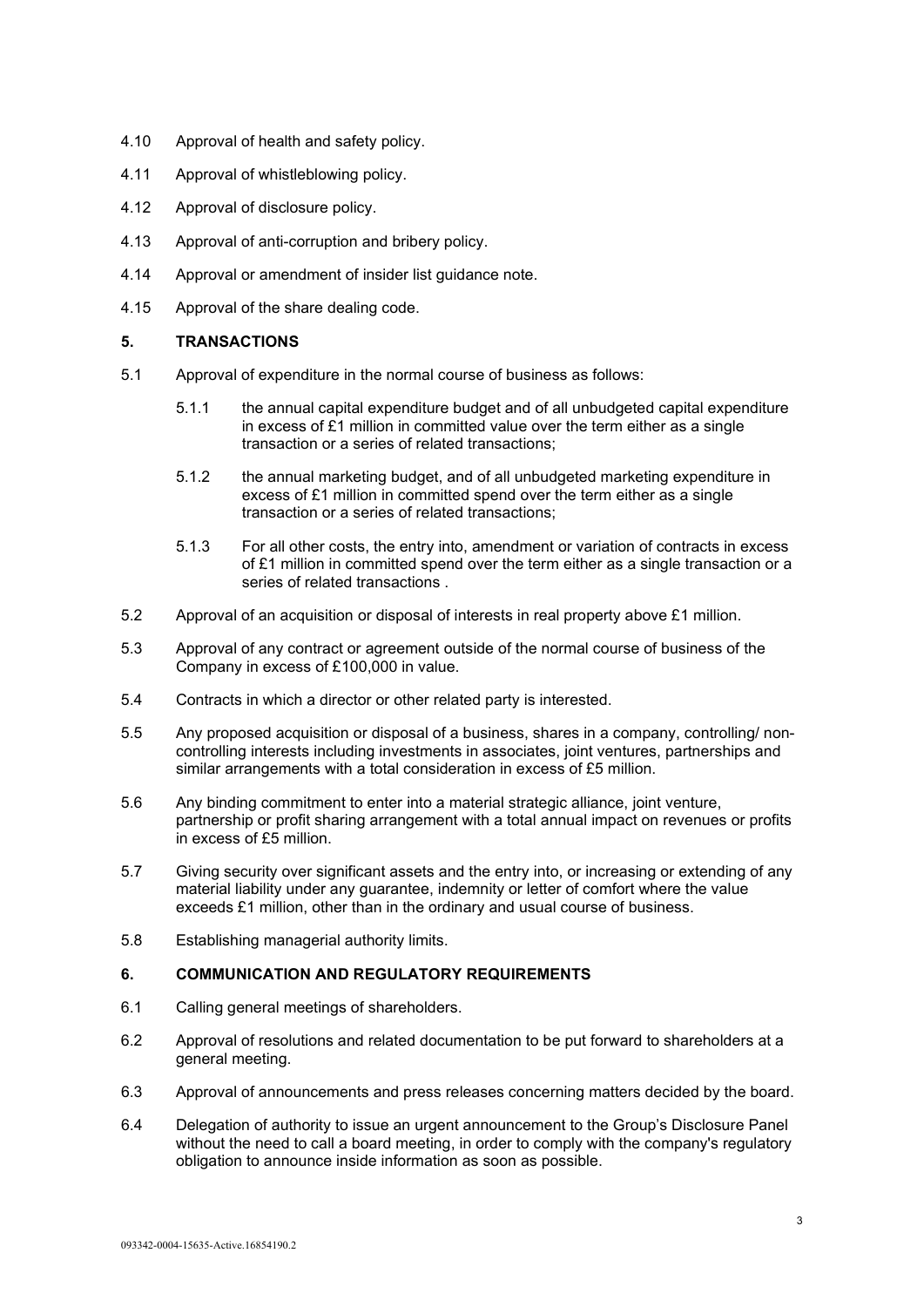- 4.10 Approval of health and safety policy.
- 4.11 Approval of whistleblowing policy.
- 4.12 Approval of disclosure policy.
- 4.13 Approval of anti-corruption and bribery policy.
- 4.14 Approval or amendment of insider list guidance note.
- 4.15 Approval of the share dealing code.

## **5. TRANSACTIONS**

- 5.1 Approval of expenditure in the normal course of business as follows:
	- 5.1.1 the annual capital expenditure budget and of all unbudgeted capital expenditure in excess of £1 million in committed value over the term either as a single transaction or a series of related transactions;
	- 5.1.2 the annual marketing budget, and of all unbudgeted marketing expenditure in excess of £1 million in committed spend over the term either as a single transaction or a series of related transactions;
	- 5.1.3 For all other costs, the entry into, amendment or variation of contracts in excess of £1 million in committed spend over the term either as a single transaction or a series of related transactions .
- 5.2 Approval of an acquisition or disposal of interests in real property above £1 million.
- 5.3 Approval of any contract or agreement outside of the normal course of business of the Company in excess of £100,000 in value.
- 5.4 Contracts in which a director or other related party is interested.
- 5.5 Any proposed acquisition or disposal of a business, shares in a company, controlling/ noncontrolling interests including investments in associates, joint ventures, partnerships and similar arrangements with a total consideration in excess of £5 million.
- 5.6 Any binding commitment to enter into a material strategic alliance, joint venture, partnership or profit sharing arrangement with a total annual impact on revenues or profits in excess of £5 million.
- 5.7 Giving security over significant assets and the entry into, or increasing or extending of any material liability under any guarantee, indemnity or letter of comfort where the value exceeds £1 million, other than in the ordinary and usual course of business.
- 5.8 Establishing managerial authority limits.

## **6. COMMUNICATION AND REGULATORY REQUIREMENTS**

- 6.1 Calling general meetings of shareholders.
- 6.2 Approval of resolutions and related documentation to be put forward to shareholders at a general meeting.
- 6.3 Approval of announcements and press releases concerning matters decided by the board.
- 6.4 Delegation of authority to issue an urgent announcement to the Group's Disclosure Panel without the need to call a board meeting, in order to comply with the company's regulatory obligation to announce inside information as soon as possible.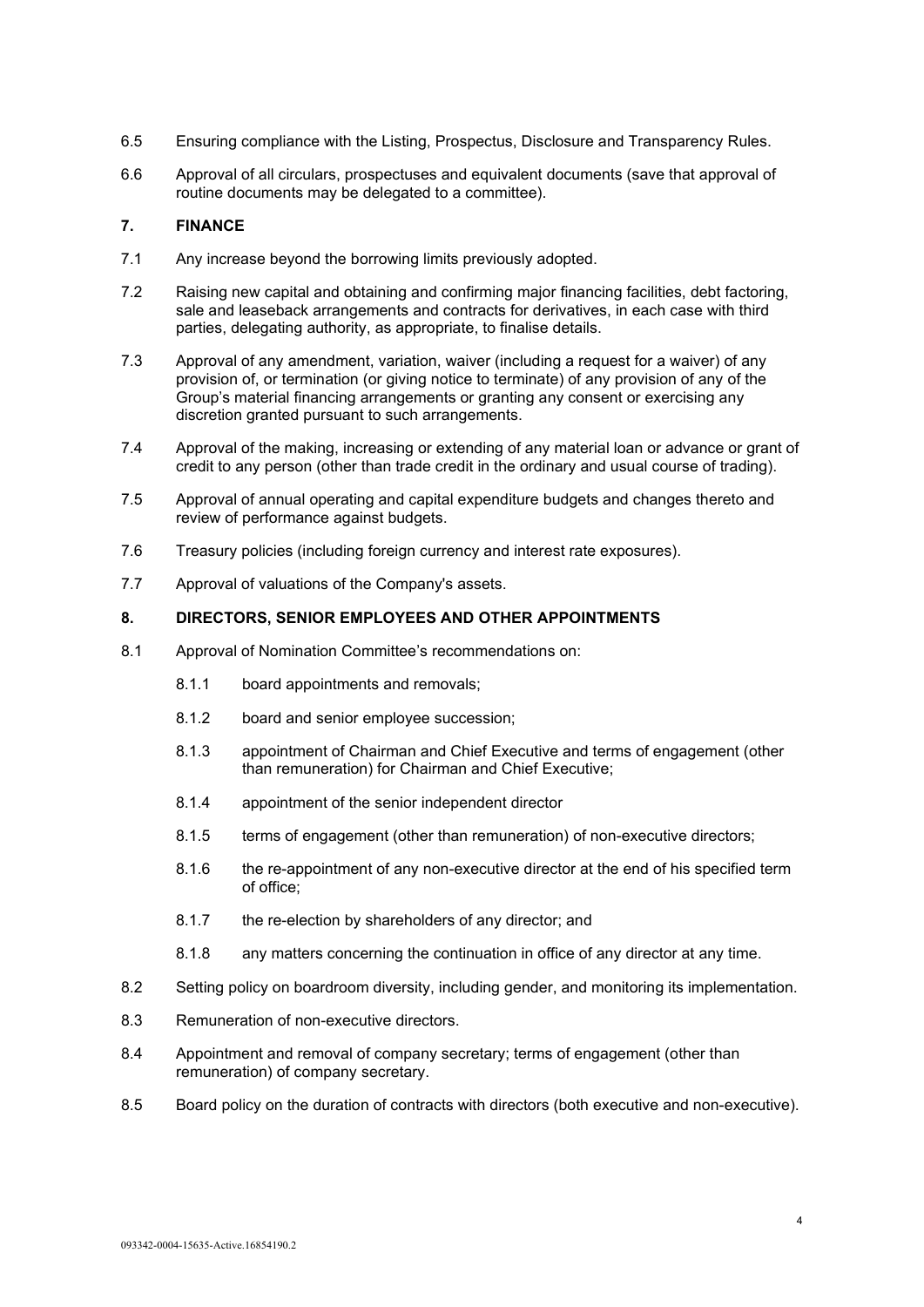- 6.5 Ensuring compliance with the Listing, Prospectus, Disclosure and Transparency Rules.
- 6.6 Approval of all circulars, prospectuses and equivalent documents (save that approval of routine documents may be delegated to a committee).

## **7. FINANCE**

- 7.1 Any increase beyond the borrowing limits previously adopted.
- 7.2 Raising new capital and obtaining and confirming major financing facilities, debt factoring, sale and leaseback arrangements and contracts for derivatives, in each case with third parties, delegating authority, as appropriate, to finalise details.
- 7.3 Approval of any amendment, variation, waiver (including a request for a waiver) of any provision of, or termination (or giving notice to terminate) of any provision of any of the Group's material financing arrangements or granting any consent or exercising any discretion granted pursuant to such arrangements.
- 7.4 Approval of the making, increasing or extending of any material loan or advance or grant of credit to any person (other than trade credit in the ordinary and usual course of trading).
- 7.5 Approval of annual operating and capital expenditure budgets and changes thereto and review of performance against budgets.
- 7.6 Treasury policies (including foreign currency and interest rate exposures).
- 7.7 Approval of valuations of the Company's assets.

## **8. DIRECTORS, SENIOR EMPLOYEES AND OTHER APPOINTMENTS**

- 8.1 Approval of Nomination Committee's recommendations on:
	- 8.1.1 board appointments and removals;
	- 8.1.2 board and senior employee succession;
	- 8.1.3 appointment of Chairman and Chief Executive and terms of engagement (other than remuneration) for Chairman and Chief Executive;
	- 8.1.4 appointment of the senior independent director
	- 8.1.5 terms of engagement (other than remuneration) of non-executive directors;
	- 8.1.6 the re-appointment of any non-executive director at the end of his specified term of office;
	- 8.1.7 the re-election by shareholders of any director; and
	- 8.1.8 any matters concerning the continuation in office of any director at any time.
- 8.2 Setting policy on boardroom diversity, including gender, and monitoring its implementation.
- 8.3 Remuneration of non-executive directors.
- 8.4 Appointment and removal of company secretary; terms of engagement (other than remuneration) of company secretary.
- 8.5 Board policy on the duration of contracts with directors (both executive and non-executive).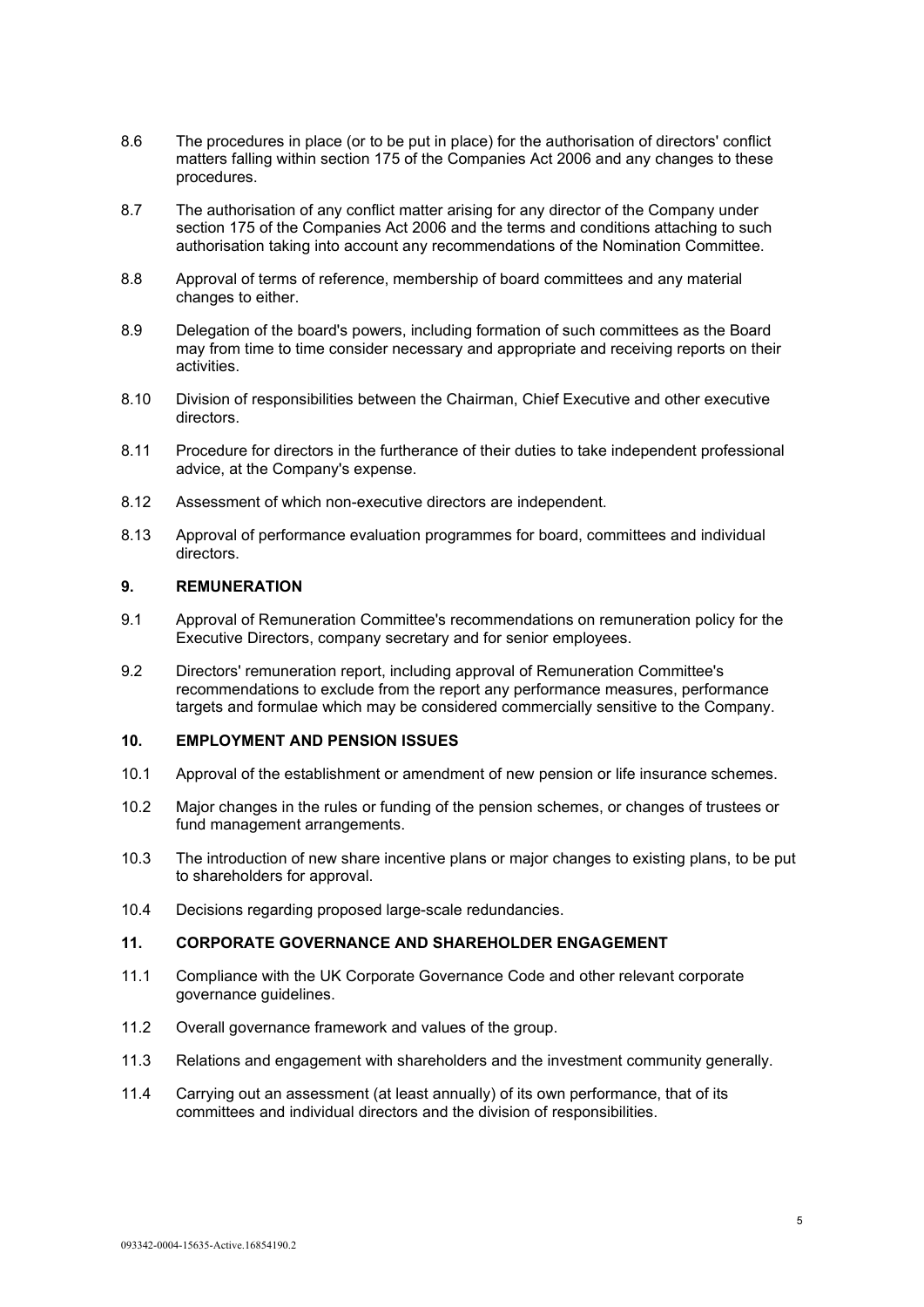- 8.6 The procedures in place (or to be put in place) for the authorisation of directors' conflict matters falling within section 175 of the Companies Act 2006 and any changes to these procedures.
- 8.7 The authorisation of any conflict matter arising for any director of the Company under section 175 of the Companies Act 2006 and the terms and conditions attaching to such authorisation taking into account any recommendations of the Nomination Committee.
- 8.8 Approval of terms of reference, membership of board committees and any material changes to either.
- 8.9 Delegation of the board's powers, including formation of such committees as the Board may from time to time consider necessary and appropriate and receiving reports on their activities.
- 8.10 Division of responsibilities between the Chairman, Chief Executive and other executive directors.
- 8.11 Procedure for directors in the furtherance of their duties to take independent professional advice, at the Company's expense.
- 8.12 Assessment of which non-executive directors are independent.
- 8.13 Approval of performance evaluation programmes for board, committees and individual directors.

# **9. REMUNERATION**

- 9.1 Approval of Remuneration Committee's recommendations on remuneration policy for the Executive Directors, company secretary and for senior employees.
- 9.2 Directors' remuneration report, including approval of Remuneration Committee's recommendations to exclude from the report any performance measures, performance targets and formulae which may be considered commercially sensitive to the Company.

#### **10. EMPLOYMENT AND PENSION ISSUES**

- 10.1 Approval of the establishment or amendment of new pension or life insurance schemes.
- 10.2 Major changes in the rules or funding of the pension schemes, or changes of trustees or fund management arrangements.
- 10.3 The introduction of new share incentive plans or major changes to existing plans, to be put to shareholders for approval.
- 10.4 Decisions regarding proposed large-scale redundancies.

# **11. CORPORATE GOVERNANCE AND SHAREHOLDER ENGAGEMENT**

- 11.1 Compliance with the UK Corporate Governance Code and other relevant corporate governance guidelines.
- 11.2 Overall governance framework and values of the group.
- 11.3 Relations and engagement with shareholders and the investment community generally.
- 11.4 Carrying out an assessment (at least annually) of its own performance, that of its committees and individual directors and the division of responsibilities.